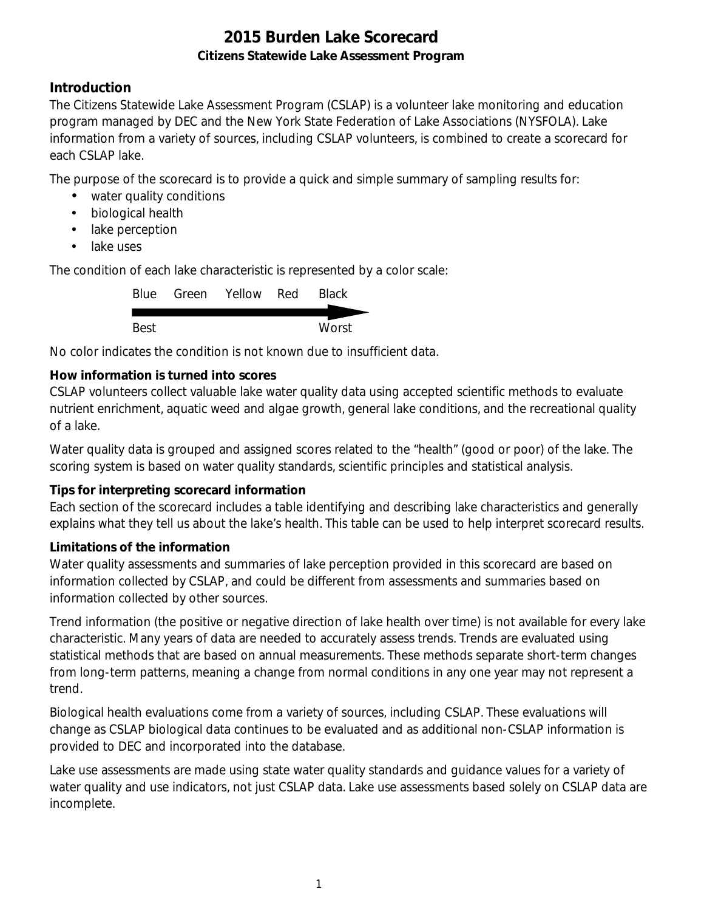### **Introduction**

The Citizens Statewide Lake Assessment Program (CSLAP) is a volunteer lake monitoring and education program managed by DEC and the New York State Federation of Lake Associations (NYSFOLA). Lake information from a variety of sources, including CSLAP volunteers, is combined to create a scorecard for each CSLAP lake.

The purpose of the scorecard is to provide a quick and simple summary of sampling results for:

- water quality conditions
- $\mathcal{L}^{\text{max}}$ biological health
- . lake perception
- L. lake uses

The condition of each lake characteristic is represented by a color scale:

|      | Blue Green Yellow Red | <b>Black</b> |
|------|-----------------------|--------------|
|      |                       |              |
| Best |                       | Worst        |

No color indicates the condition is not known due to insufficient data.

### **How information is turned into scores**

CSLAP volunteers collect valuable lake water quality data using accepted scientific methods to evaluate nutrient enrichment, aquatic weed and algae growth, general lake conditions, and the recreational quality of a lake.

Water quality data is grouped and assigned scores related to the "health" (good or poor) of the lake. The scoring system is based on water quality standards, scientific principles and statistical analysis.

#### **Tips for interpreting scorecard information**

Each section of the scorecard includes a table identifying and describing lake characteristics and generally explains what they tell us about the lake's health. This table can be used to help interpret scorecard results.

#### **Limitations of the information**

Water quality assessments and summaries of lake perception provided in this scorecard are based on information collected by CSLAP, and could be different from assessments and summaries based on information collected by other sources.

Trend information (the positive or negative direction of lake health over time) is not available for every lake characteristic. Many years of data are needed to accurately assess trends. Trends are evaluated using statistical methods that are based on annual measurements. These methods separate short-term changes from long-term patterns, meaning a change from normal conditions in any one year may not represent a trend.

Biological health evaluations come from a variety of sources, including CSLAP. These evaluations will change as CSLAP biological data continues to be evaluated and as additional non-CSLAP information is provided to DEC and incorporated into the database.

Lake use assessments are made using state water quality standards and guidance values for a variety of water quality and use indicators, not just CSLAP data. Lake use assessments based solely on CSLAP data are incomplete.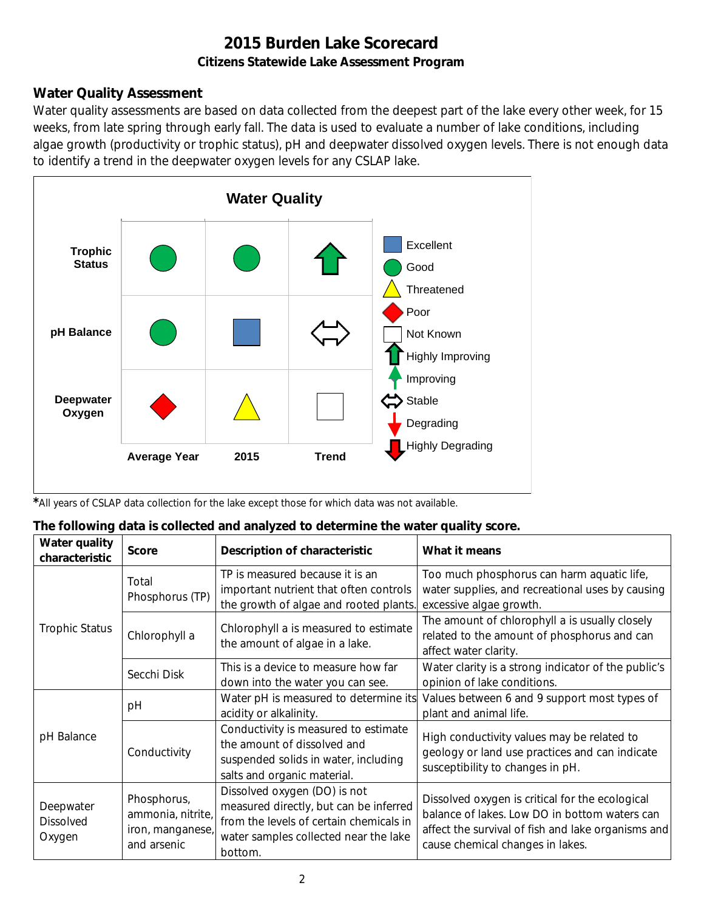### **Water Quality Assessment**

Water quality assessments are based on data collected from the deepest part of the lake every other week, for 15 weeks, from late spring through early fall. The data is used to evaluate a number of lake conditions, including algae growth (productivity or trophic status), pH and deepwater dissolved oxygen levels. There is not enough data to identify a trend in the deepwater oxygen levels for any CSLAP lake.



*\**All years of CSLAP data collection for the lake except those for which data was not available.

#### **The following data is collected and analyzed to determine the water quality score.**

| Water quality<br>characteristic         | <b>Score</b>                                                        | Description of characteristic                                                                                                                                         | What it means                                                                                                                                                                              |
|-----------------------------------------|---------------------------------------------------------------------|-----------------------------------------------------------------------------------------------------------------------------------------------------------------------|--------------------------------------------------------------------------------------------------------------------------------------------------------------------------------------------|
|                                         | Total<br>Phosphorus (TP)                                            | TP is measured because it is an<br>important nutrient that often controls<br>the growth of algae and rooted plants.                                                   | Too much phosphorus can harm aquatic life,<br>water supplies, and recreational uses by causing<br>excessive algae growth.                                                                  |
| <b>Trophic Status</b>                   | Chlorophyll a                                                       | Chlorophyll a is measured to estimate<br>the amount of algae in a lake.                                                                                               | The amount of chlorophyll a is usually closely<br>related to the amount of phosphorus and can<br>affect water clarity.                                                                     |
|                                         | Secchi Disk                                                         | This is a device to measure how far<br>down into the water you can see.                                                                                               | Water clarity is a strong indicator of the public's<br>opinion of lake conditions.                                                                                                         |
|                                         | рH                                                                  | Water pH is measured to determine its<br>acidity or alkalinity.                                                                                                       | Values between 6 and 9 support most types of<br>plant and animal life.                                                                                                                     |
| pH Balance<br>Conductivity              |                                                                     | Conductivity is measured to estimate<br>the amount of dissolved and<br>suspended solids in water, including<br>salts and organic material.                            | High conductivity values may be related to<br>geology or land use practices and can indicate<br>susceptibility to changes in pH.                                                           |
| Deepwater<br><b>Dissolved</b><br>Oxygen | Phosphorus,<br>ammonia, nitrite,<br>iron, manganese,<br>and arsenic | Dissolved oxygen (DO) is not<br>measured directly, but can be inferred<br>from the levels of certain chemicals in<br>water samples collected near the lake<br>bottom. | Dissolved oxygen is critical for the ecological<br>balance of lakes. Low DO in bottom waters can<br>affect the survival of fish and lake organisms and<br>cause chemical changes in lakes. |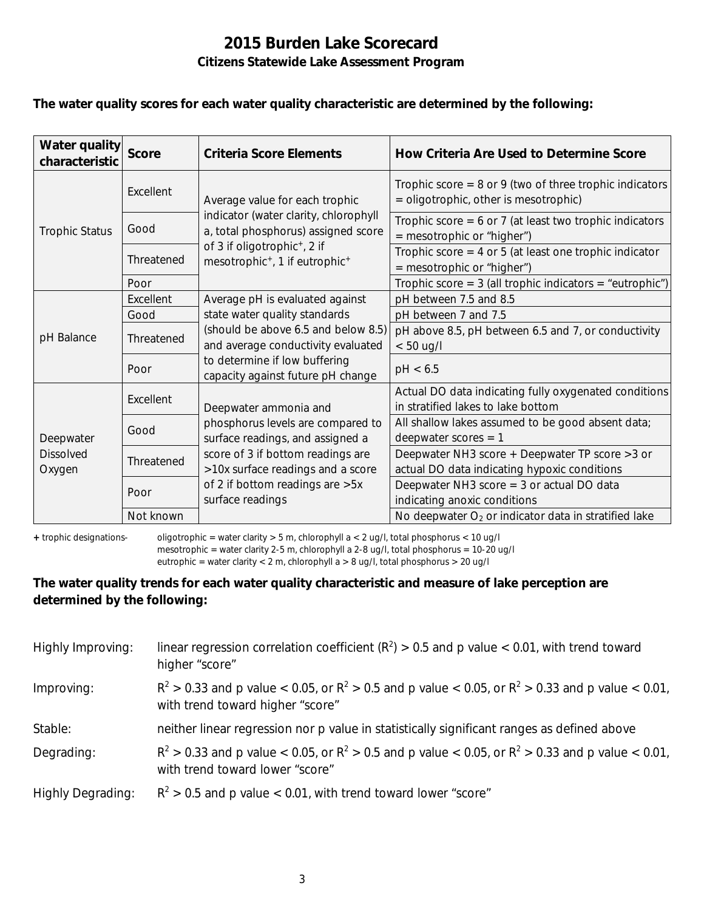#### **The water quality scores for each water quality characteristic are determined by the following:**

| Water quality<br>characteristic         | <b>Score</b> | <b>Criteria Score Elements</b>                                                                                 | How Criteria Are Used to Determine Score                                                             |
|-----------------------------------------|--------------|----------------------------------------------------------------------------------------------------------------|------------------------------------------------------------------------------------------------------|
|                                         | Excellent    | Average value for each trophic<br>indicator (water clarity, chlorophyll<br>a, total phosphorus) assigned score | Trophic score = $8$ or $9$ (two of three trophic indicators<br>= oligotrophic, other is mesotrophic) |
| <b>Trophic Status</b>                   | Good         |                                                                                                                | Trophic score = $6$ or 7 (at least two trophic indicators<br>= mesotrophic or "higher")              |
|                                         | Threatened   | of 3 if oligotrophic <sup>+</sup> , 2 if<br>mesotrophic <sup>+</sup> , 1 if eutrophic <sup>+</sup>             | Trophic score $=$ 4 or 5 (at least one trophic indicator<br>= mesotrophic or "higher")               |
|                                         | Poor         |                                                                                                                | Trophic score = $3$ (all trophic indicators = "eutrophic")                                           |
| pH Balance                              | Excellent    | Average pH is evaluated against                                                                                | pH between 7.5 and 8.5                                                                               |
|                                         | Good         | state water quality standards                                                                                  | pH between 7 and 7.5                                                                                 |
|                                         | Threatened   | (should be above 6.5 and below 8.5)<br>and average conductivity evaluated                                      | pH above 8.5, pH between 6.5 and 7, or conductivity<br>$< 50$ ug/l                                   |
|                                         | Poor         | to determine if low buffering<br>capacity against future pH change                                             | pH < 6.5                                                                                             |
| Deepwater<br><b>Dissolved</b><br>Oxygen | Excellent    | Deepwater ammonia and                                                                                          | Actual DO data indicating fully oxygenated conditions<br>in stratified lakes to lake bottom          |
|                                         | Good         | phosphorus levels are compared to<br>surface readings, and assigned a                                          | All shallow lakes assumed to be good absent data;<br>deepwater scores $= 1$                          |
|                                         | Threatened   | score of 3 if bottom readings are<br>>10x surface readings and a score                                         | Deepwater NH3 score + Deepwater TP score > 3 or<br>actual DO data indicating hypoxic conditions      |
|                                         | Poor         | of 2 if bottom readings are > 5x<br>surface readings                                                           | Deepwater NH3 score $=$ 3 or actual DO data<br>indicating anoxic conditions                          |
|                                         | Not known    |                                                                                                                | No deepwater $O_2$ or indicator data in stratified lake                                              |

**+** trophic designations- oligotrophic = water clarity > 5 m, chlorophyll a < 2 ug/l, total phosphorus < 10 ug/l mesotrophic = water clarity 2-5 m, chlorophyll a 2-8 ug/l, total phosphorus = 10-20 ug/l

eutrophic = water clarity < 2 m, chlorophyll a > 8 ug/l, total phosphorus > 20 ug/l

#### **The water quality trends for each water quality characteristic and measure of lake perception are determined by the following:**

| Highly Improving:        | linear regression correlation coefficient ( $R^2$ ) > 0.5 and p value < 0.01, with trend toward<br>higher "score"                           |
|--------------------------|---------------------------------------------------------------------------------------------------------------------------------------------|
| Improving:               | $R^2 > 0.33$ and p value < 0.05, or $R^2 > 0.5$ and p value < 0.05, or $R^2 > 0.33$ and p value < 0.01,<br>with trend toward higher "score" |
| Stable:                  | neither linear regression nor p value in statistically significant ranges as defined above                                                  |
| Degrading:               | $R^2 > 0.33$ and p value < 0.05, or $R^2 > 0.5$ and p value < 0.05, or $R^2 > 0.33$ and p value < 0.01,<br>with trend toward lower "score"  |
| <b>Highly Degrading:</b> | $R^2 > 0.5$ and p value < 0.01, with trend toward lower "score"                                                                             |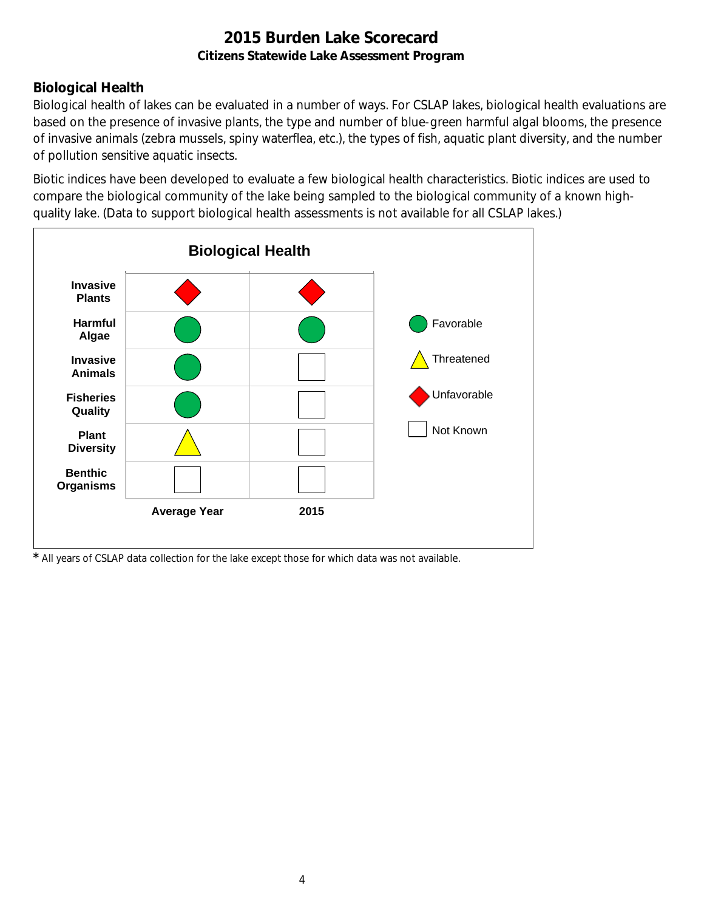### **Biological Health**

Biological health of lakes can be evaluated in a number of ways. For CSLAP lakes, biological health evaluations are based on the presence of invasive plants, the type and number of blue-green harmful algal blooms, the presence of invasive animals (zebra mussels, spiny waterflea, etc.), the types of fish, aquatic plant diversity, and the number of pollution sensitive aquatic insects.

Biotic indices have been developed to evaluate a few biological health characteristics. Biotic indices are used to compare the biological community of the lake being sampled to the biological community of a known highquality lake. (Data to support biological health assessments is not available for all CSLAP lakes.)



*\** All years of CSLAP data collection for the lake except those for which data was not available.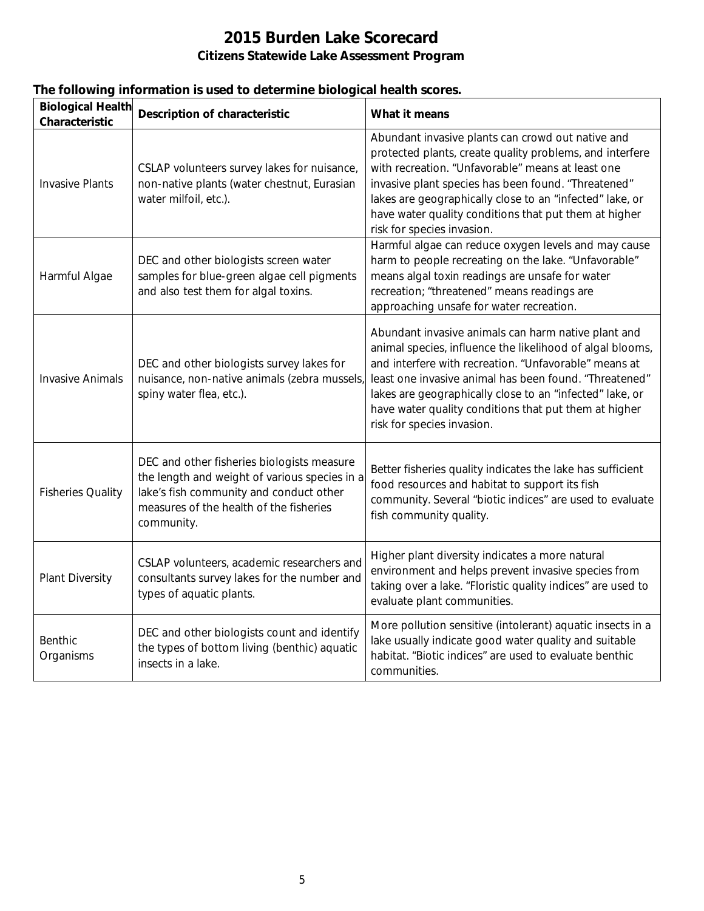|  |  | The following information is used to determine biological health scores. |
|--|--|--------------------------------------------------------------------------|
|  |  |                                                                          |

| <b>Biological Health</b><br>Characteristic | <b>Description of characteristic</b>                                                                                                                                                            | What it means                                                                                                                                                                                                                                                                                                                                                                          |
|--------------------------------------------|-------------------------------------------------------------------------------------------------------------------------------------------------------------------------------------------------|----------------------------------------------------------------------------------------------------------------------------------------------------------------------------------------------------------------------------------------------------------------------------------------------------------------------------------------------------------------------------------------|
| <b>Invasive Plants</b>                     | CSLAP volunteers survey lakes for nuisance,<br>non-native plants (water chestnut, Eurasian<br>water milfoil, etc.).                                                                             | Abundant invasive plants can crowd out native and<br>protected plants, create quality problems, and interfere<br>with recreation. "Unfavorable" means at least one<br>invasive plant species has been found. "Threatened"<br>lakes are geographically close to an "infected" lake, or<br>have water quality conditions that put them at higher<br>risk for species invasion.           |
| Harmful Algae                              | DEC and other biologists screen water<br>samples for blue-green algae cell pigments<br>and also test them for algal toxins.                                                                     | Harmful algae can reduce oxygen levels and may cause<br>harm to people recreating on the lake. "Unfavorable"<br>means algal toxin readings are unsafe for water<br>recreation; "threatened" means readings are<br>approaching unsafe for water recreation.                                                                                                                             |
| <b>Invasive Animals</b>                    | DEC and other biologists survey lakes for<br>nuisance, non-native animals (zebra mussels)<br>spiny water flea, etc.).                                                                           | Abundant invasive animals can harm native plant and<br>animal species, influence the likelihood of algal blooms,<br>and interfere with recreation. "Unfavorable" means at<br>least one invasive animal has been found. "Threatened"<br>lakes are geographically close to an "infected" lake, or<br>have water quality conditions that put them at higher<br>risk for species invasion. |
| <b>Fisheries Quality</b>                   | DEC and other fisheries biologists measure<br>the length and weight of various species in a<br>lake's fish community and conduct other<br>measures of the health of the fisheries<br>community. | Better fisheries quality indicates the lake has sufficient<br>food resources and habitat to support its fish<br>community. Several "biotic indices" are used to evaluate<br>fish community quality.                                                                                                                                                                                    |
| <b>Plant Diversity</b>                     | CSLAP volunteers, academic researchers and<br>consultants survey lakes for the number and<br>types of aquatic plants.                                                                           | Higher plant diversity indicates a more natural<br>environment and helps prevent invasive species from<br>taking over a lake. "Floristic quality indices" are used to<br>evaluate plant communities.                                                                                                                                                                                   |
| <b>Benthic</b><br>Organisms                | DEC and other biologists count and identify<br>the types of bottom living (benthic) aquatic<br>insects in a lake.                                                                               | More pollution sensitive (intolerant) aquatic insects in a<br>lake usually indicate good water quality and suitable<br>habitat. "Biotic indices" are used to evaluate benthic<br>communities.                                                                                                                                                                                          |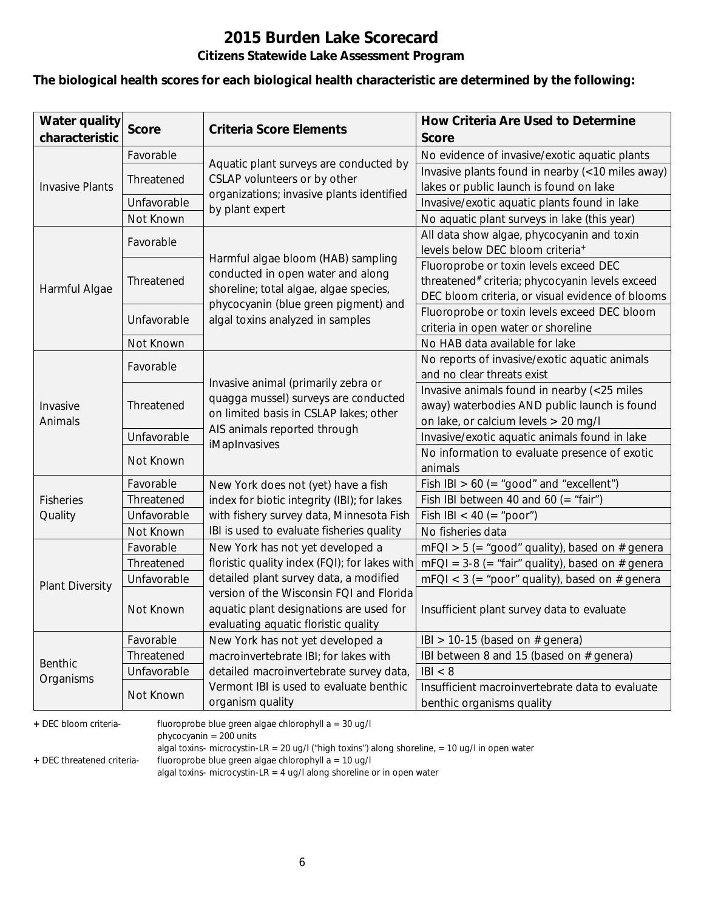# **2015 Burden Lake Scorecard**

### **Citizens Statewide Lake Assessment Program**

#### **The biological health scores for each biological health characteristic are determined by the following:**

| <b>Water quality</b>   | <b>Score</b> | <b>Criteria Score Elements</b>                | How Criteria Are Used to Determine                  |
|------------------------|--------------|-----------------------------------------------|-----------------------------------------------------|
| characteristic         |              |                                               | <b>Score</b>                                        |
|                        | Favorable    | Aquatic plant surveys are conducted by        | No evidence of invasive/exotic aquatic plants       |
|                        | Threatened   | CSLAP volunteers or by other                  | Invasive plants found in nearby (<10 miles away)    |
| <b>Invasive Plants</b> |              | organizations; invasive plants identified     | lakes or public launch is found on lake             |
|                        | Unfavorable  | by plant expert                               | Invasive/exotic aquatic plants found in lake        |
|                        | Not Known    |                                               | No aquatic plant surveys in lake (this year)        |
|                        | Favorable    |                                               | All data show algae, phycocyanin and toxin          |
|                        |              | Harmful algae bloom (HAB) sampling            | levels below DEC bloom criteria <sup>+</sup>        |
|                        |              | conducted in open water and along             | Fluoroprobe or toxin levels exceed DEC              |
| Harmful Algae          | Threatened   | shoreline; total algae, algae species,        | threatened# criteria; phycocyanin levels exceed     |
|                        |              | phycocyanin (blue green pigment) and          | DEC bloom criteria, or visual evidence of blooms    |
|                        | Unfavorable  | algal toxins analyzed in samples              | Fluoroprobe or toxin levels exceed DEC bloom        |
|                        |              |                                               | criteria in open water or shoreline                 |
|                        | Not Known    |                                               | No HAB data available for lake                      |
|                        | Favorable    |                                               | No reports of invasive/exotic aquatic animals       |
|                        |              | Invasive animal (primarily zebra or           | and no clear threats exist                          |
|                        | Threatened   | quagga mussel) surveys are conducted          | Invasive animals found in nearby (<25 miles         |
| Invasive               |              | on limited basis in CSLAP lakes; other        | away) waterbodies AND public launch is found        |
| Animals                |              | AIS animals reported through                  | on lake, or calcium levels > 20 mg/l                |
|                        | Unfavorable  | iMapInvasives                                 | Invasive/exotic aquatic animals found in lake       |
|                        | Not Known    |                                               | No information to evaluate presence of exotic       |
|                        |              |                                               | animals                                             |
|                        | Favorable    | New York does not (yet) have a fish           | Fish IBI $> 60$ (= "good" and "excellent")          |
| <b>Fisheries</b>       | Threatened   | index for biotic integrity (IBI); for lakes   | Fish IBI between 40 and 60 (= "fair")               |
| Quality                | Unfavorable  | with fishery survey data, Minnesota Fish      | Fish IBI < 40 (= "poor")                            |
|                        | Not Known    | IBI is used to evaluate fisheries quality     | No fisheries data                                   |
|                        | Favorable    | New York has not yet developed a              | $mFQI > 5$ (= "good" quality), based on # genera    |
|                        | Threatened   | floristic quality index (FQI); for lakes with | $mFQI = 3-8 (= "fair" quality)$ , based on # genera |
| <b>Plant Diversity</b> | Unfavorable  | detailed plant survey data, a modified        | $mFQI < 3$ (= "poor" quality), based on # genera    |
|                        |              | version of the Wisconsin FQI and Florida      |                                                     |
|                        | Not Known    | aquatic plant designations are used for       | Insufficient plant survey data to evaluate          |
|                        |              | evaluating aquatic floristic quality          |                                                     |
|                        | Favorable    | New York has not yet developed a              | IBI > 10-15 (based on $#$ genera)                   |
| Benthic                | Threatened   | macroinvertebrate IBI; for lakes with         | IBI between 8 and 15 (based on # genera)            |
|                        | Unfavorable  | detailed macroinvertebrate survey data,       | B  < 8                                              |
| Organisms              | Not Known    | Vermont IBI is used to evaluate benthic       | Insufficient macroinvertebrate data to evaluate     |
|                        |              | organism quality                              | benthic organisms quality                           |

**+** DEC bloom criteria- fluoroprobe blue green algae chlorophyll a = 30 ug/l

phycocyanin = 200 units

algal toxins- microcystin-LR = 20 ug/l ("high toxins") along shoreline, = 10 ug/l in open water

**+** DEC threatened criteria- fluoroprobe blue green algae chlorophyll a = 10 ug/l

algal toxins- microcystin-LR = 4 ug/l along shoreline or in open water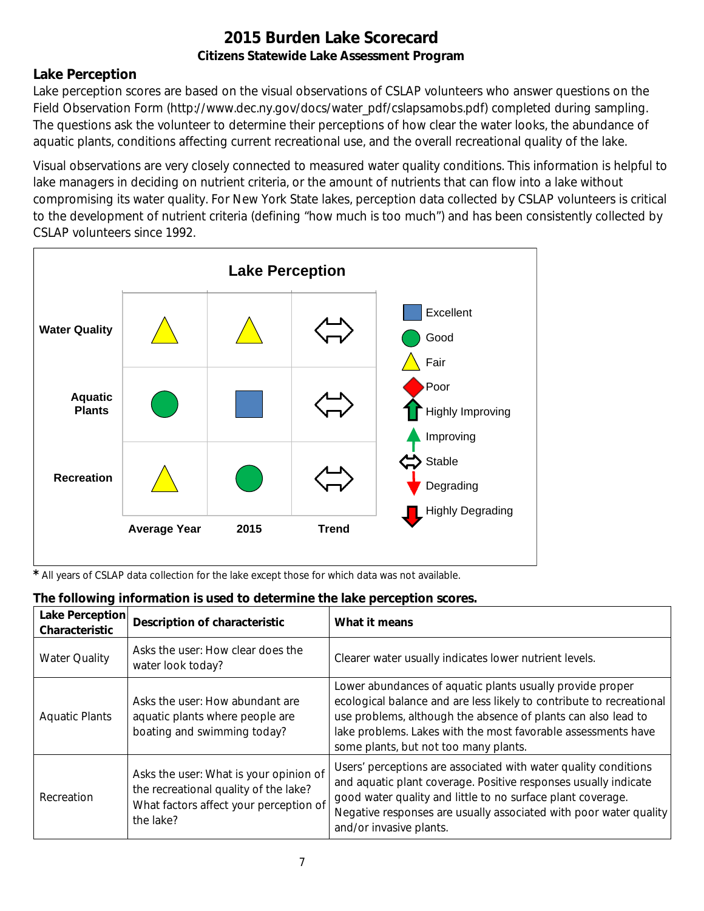### **Lake Perception**

Lake perception scores are based on the visual observations of CSLAP volunteers who answer questions on the Field Observation Form (http://www.dec.ny.gov/docs/water\_pdf/cslapsamobs.pdf) completed during sampling. The questions ask the volunteer to determine their perceptions of how clear the water looks, the abundance of aquatic plants, conditions affecting current recreational use, and the overall recreational quality of the lake.

Visual observations are very closely connected to measured water quality conditions. This information is helpful to lake managers in deciding on nutrient criteria, or the amount of nutrients that can flow into a lake without compromising its water quality. For New York State lakes, perception data collected by CSLAP volunteers is critical to the development of nutrient criteria (defining "how much is too much") and has been consistently collected by CSLAP volunteers since 1992.



*\** All years of CSLAP data collection for the lake except those for which data was not available.

| <b>Lake Perception</b><br>Characteristic | <b>Description of characteristic</b>                                                                                                   | What it means                                                                                                                                                                                                                                                                                                |
|------------------------------------------|----------------------------------------------------------------------------------------------------------------------------------------|--------------------------------------------------------------------------------------------------------------------------------------------------------------------------------------------------------------------------------------------------------------------------------------------------------------|
| <b>Water Quality</b>                     | Asks the user: How clear does the<br>water look today?                                                                                 | Clearer water usually indicates lower nutrient levels.                                                                                                                                                                                                                                                       |
| <b>Aquatic Plants</b>                    | Asks the user: How abundant are<br>aquatic plants where people are<br>boating and swimming today?                                      | Lower abundances of aquatic plants usually provide proper<br>ecological balance and are less likely to contribute to recreational<br>use problems, although the absence of plants can also lead to<br>lake problems. Lakes with the most favorable assessments have<br>some plants, but not too many plants. |
| Recreation                               | Asks the user: What is your opinion of<br>the recreational quality of the lake?<br>What factors affect your perception of<br>the lake? | Users' perceptions are associated with water quality conditions<br>and aquatic plant coverage. Positive responses usually indicate<br>good water quality and little to no surface plant coverage.<br>Negative responses are usually associated with poor water quality<br>and/or invasive plants.            |

#### **The following information is used to determine the lake perception scores.**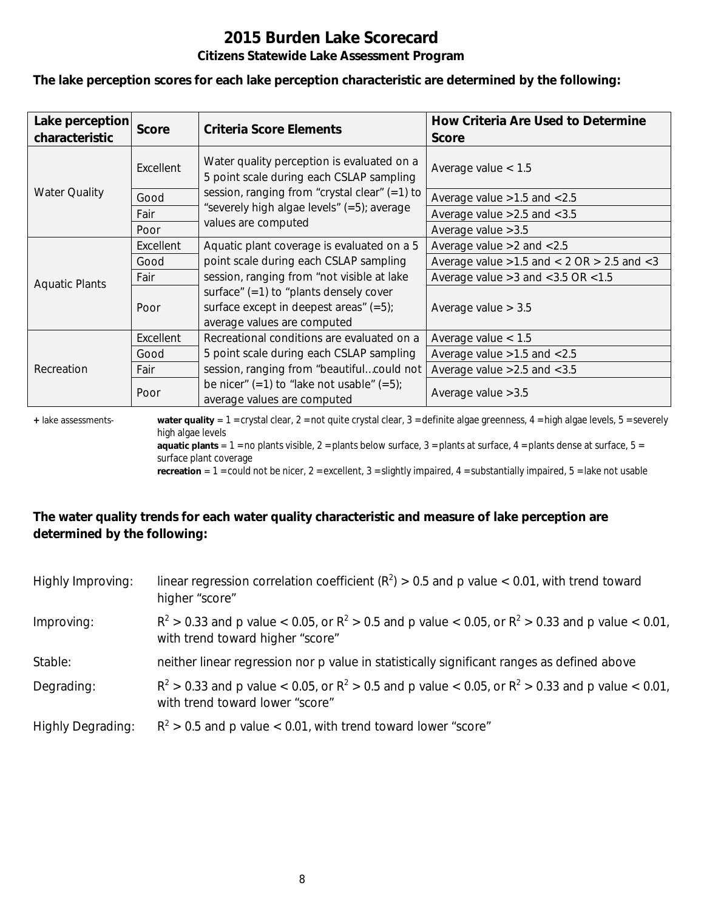#### **The lake perception scores for each lake perception characteristic are determined by the following:**

| Lake perception<br>characteristic | <b>Score</b> | Criteria Score Elements                                                                                              | How Criteria Are Used to Determine<br><b>Score</b>  |
|-----------------------------------|--------------|----------------------------------------------------------------------------------------------------------------------|-----------------------------------------------------|
|                                   | Excellent    | Water quality perception is evaluated on a<br>5 point scale during each CSLAP sampling                               | Average value $< 1.5$                               |
| <b>Water Quality</b>              | Good         | session, ranging from "crystal clear" (=1) to                                                                        | Average value $>1.5$ and $< 2.5$                    |
|                                   | Fair         | "severely high algae levels" (=5); average                                                                           | Average value $>2.5$ and $< 3.5$                    |
|                                   | Poor         | values are computed                                                                                                  | Average value $>3.5$                                |
|                                   | Excellent    | Aquatic plant coverage is evaluated on a 5                                                                           | Average value $>2$ and $< 2.5$                      |
|                                   | Good         | point scale during each CSLAP sampling                                                                               | Average value $>1.5$ and $< 2$ OR $> 2.5$ and $< 3$ |
| <b>Aquatic Plants</b>             | Fair         | session, ranging from "not visible at lake                                                                           | Average value $>3$ and $<$ 3.5 OR $<$ 1.5           |
|                                   | Poor         | surface" $(=1)$ to "plants densely cover<br>surface except in deepest areas" $(=5)$ ;<br>average values are computed | Average value $> 3.5$                               |
|                                   | Excellent    | Recreational conditions are evaluated on a                                                                           | Average value $< 1.5$                               |
|                                   | Good         | 5 point scale during each CSLAP sampling                                                                             | Average value $>1.5$ and $< 2.5$                    |
| Recreation                        | Fair         | session, ranging from "beautifulcould not                                                                            | Average value $>2.5$ and $< 3.5$                    |
|                                   | Poor         | be nicer" $(=1)$ to "lake not usable" $(=5)$ ;<br>average values are computed                                        | Average value $>3.5$                                |

**+** lake assessments- **water quality** = 1 = crystal clear, 2 = not quite crystal clear, 3 = definite algae greenness, 4 = high algae levels, 5 = severely high algae levels

**aquatic plants** =  $1$  = no plants visible,  $2$  = plants below surface,  $3$  = plants at surface,  $4$  = plants dense at surface,  $5$  = surface plant coverage

**recreation** = 1 = could not be nicer, 2 = excellent, 3 = slightly impaired, 4 = substantially impaired, 5 = lake not usable

### **The water quality trends for each water quality characteristic and measure of lake perception are determined by the following:**

| Highly Improving:        | linear regression correlation coefficient ( $R^2$ ) > 0.5 and p value < 0.01, with trend toward<br>higher "score"                           |
|--------------------------|---------------------------------------------------------------------------------------------------------------------------------------------|
| Improving:               | $R^2 > 0.33$ and p value < 0.05, or $R^2 > 0.5$ and p value < 0.05, or $R^2 > 0.33$ and p value < 0.01,<br>with trend toward higher "score" |
| Stable:                  | neither linear regression nor p value in statistically significant ranges as defined above                                                  |
| Degrading:               | $R^2 > 0.33$ and p value < 0.05, or $R^2 > 0.5$ and p value < 0.05, or $R^2 > 0.33$ and p value < 0.01,<br>with trend toward lower "score"  |
| <b>Highly Degrading:</b> | $R^2 > 0.5$ and p value < 0.01, with trend toward lower "score"                                                                             |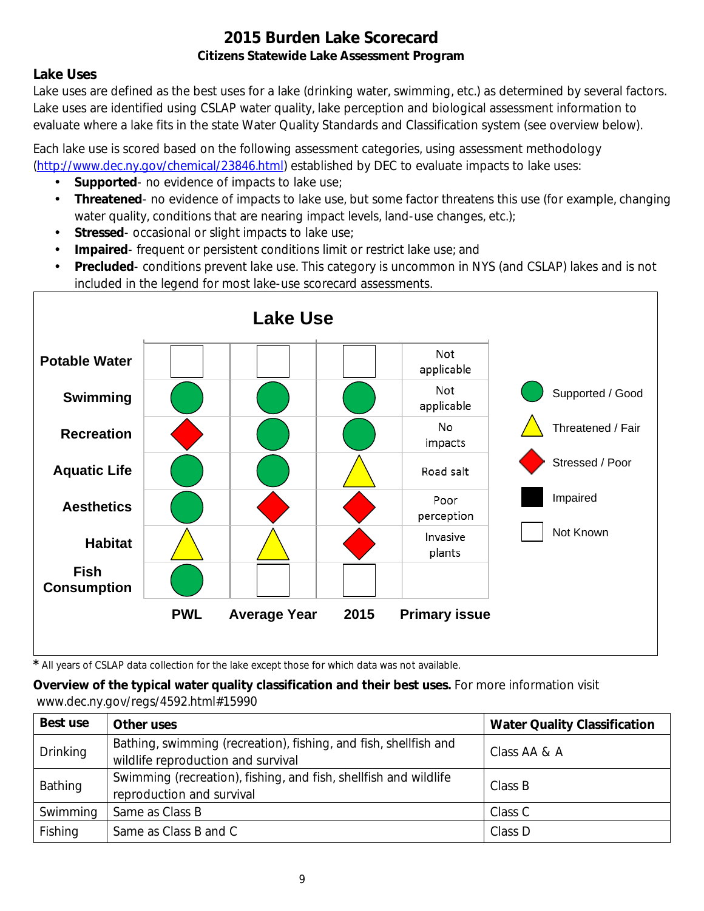### **Lake Uses**

Lake uses are defined as the best uses for a lake (drinking water, swimming, etc.) as determined by several factors. Lake uses are identified using CSLAP water quality, lake perception and biological assessment information to evaluate where a lake fits in the state Water Quality Standards and Classification system (see overview below).

Each lake use is scored based on the following assessment categories, using assessment methodology [\(http://www.dec.ny.gov/chemical/23846.html\)](http://www.dec.ny.gov/chemical/23846.html) established by DEC to evaluate impacts to lake uses:

- **Supported** no evidence of impacts to lake use;
- $\mathcal{L}^{\mathcal{L}}$ **Threatened**- no evidence of impacts to lake use, but some factor threatens this use (for example, changing water quality, conditions that are nearing impact levels, land-use changes, etc.);
- **Stressed** occasional or slight impacts to lake use;  $\mathbf{r}$
- **Impaired** frequent or persistent conditions limit or restrict lake use; and  $\mathbf{r}$
- **Precluded** conditions prevent lake use. This category is uncommon in NYS (and CSLAP) lakes and is not included in the legend for most lake-use scorecard assessments.



*\** All years of CSLAP data collection for the lake except those for which data was not available.

### **Overview of the typical water quality classification and their best uses.** For more information visit www.dec.ny.gov/regs/4592.html#15990

| Best use        | Other uses                                                                                             | <b>Water Quality Classification</b> |
|-----------------|--------------------------------------------------------------------------------------------------------|-------------------------------------|
| <b>Drinking</b> | Bathing, swimming (recreation), fishing, and fish, shellfish and<br>wildlife reproduction and survival | Class AA & A                        |
| Bathing         | Swimming (recreation), fishing, and fish, shellfish and wildlife<br>reproduction and survival          | Class B                             |
| Swimming        | Same as Class B                                                                                        | Class C                             |
| Fishing         | Same as Class B and C                                                                                  | Class D                             |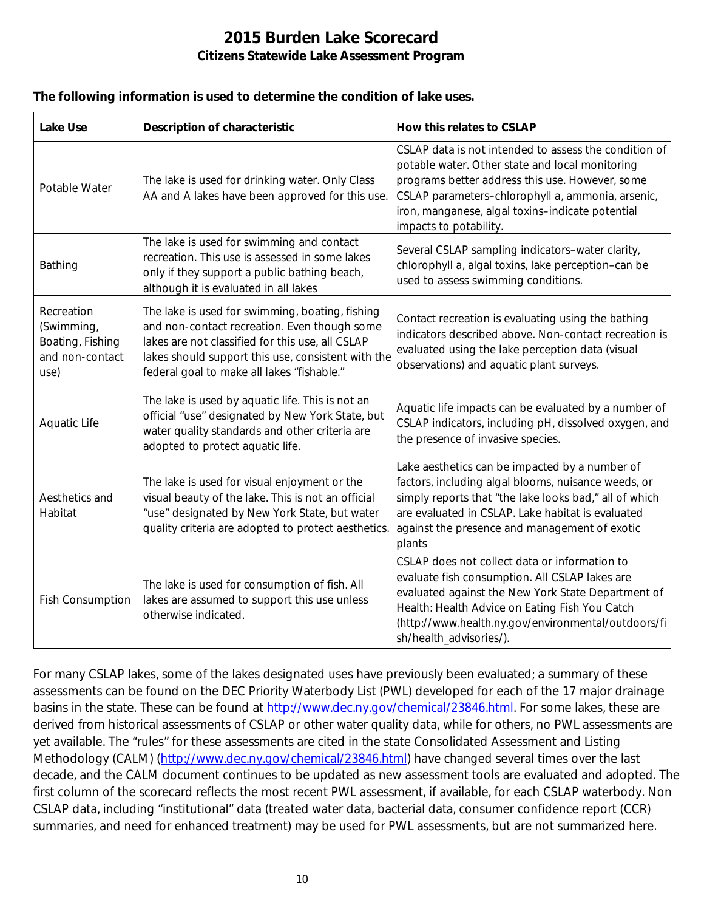#### **The following information is used to determine the condition of lake uses.**

| <b>Lake Use</b>                                                         | <b>Description of characteristic</b>                                                                                                                                                                                                                    | How this relates to CSLAP                                                                                                                                                                                                                                                                      |
|-------------------------------------------------------------------------|---------------------------------------------------------------------------------------------------------------------------------------------------------------------------------------------------------------------------------------------------------|------------------------------------------------------------------------------------------------------------------------------------------------------------------------------------------------------------------------------------------------------------------------------------------------|
| Potable Water                                                           | The lake is used for drinking water. Only Class<br>AA and A lakes have been approved for this use.                                                                                                                                                      | CSLAP data is not intended to assess the condition of<br>potable water. Other state and local monitoring<br>programs better address this use. However, some<br>CSLAP parameters-chlorophyll a, ammonia, arsenic,<br>iron, manganese, algal toxins-indicate potential<br>impacts to potability. |
| Bathing                                                                 | The lake is used for swimming and contact<br>recreation. This use is assessed in some lakes<br>only if they support a public bathing beach,<br>although it is evaluated in all lakes                                                                    | Several CSLAP sampling indicators-water clarity,<br>chlorophyll a, algal toxins, lake perception-can be<br>used to assess swimming conditions.                                                                                                                                                 |
| Recreation<br>(Swimming,<br>Boating, Fishing<br>and non-contact<br>use) | The lake is used for swimming, boating, fishing<br>and non-contact recreation. Even though some<br>lakes are not classified for this use, all CSLAP<br>lakes should support this use, consistent with the<br>federal goal to make all lakes "fishable." | Contact recreation is evaluating using the bathing<br>indicators described above. Non-contact recreation is<br>evaluated using the lake perception data (visual<br>observations) and aquatic plant surveys.                                                                                    |
| Aquatic Life                                                            | The lake is used by aquatic life. This is not an<br>official "use" designated by New York State, but<br>water quality standards and other criteria are<br>adopted to protect aquatic life.                                                              | Aquatic life impacts can be evaluated by a number of<br>CSLAP indicators, including pH, dissolved oxygen, and<br>the presence of invasive species.                                                                                                                                             |
| Aesthetics and<br>Habitat                                               | The lake is used for visual enjoyment or the<br>visual beauty of the lake. This is not an official<br>"use" designated by New York State, but water<br>quality criteria are adopted to protect aesthetics.                                              | Lake aesthetics can be impacted by a number of<br>factors, including algal blooms, nuisance weeds, or<br>simply reports that "the lake looks bad," all of which<br>are evaluated in CSLAP. Lake habitat is evaluated<br>against the presence and management of exotic<br>plants                |
| <b>Fish Consumption</b>                                                 | The lake is used for consumption of fish. All<br>lakes are assumed to support this use unless<br>otherwise indicated.                                                                                                                                   | CSLAP does not collect data or information to<br>evaluate fish consumption. All CSLAP lakes are<br>evaluated against the New York State Department of<br>Health: Health Advice on Eating Fish You Catch<br>(http://www.health.ny.gov/environmental/outdoors/fi<br>sh/health_advisories/).      |

For many CSLAP lakes, some of the lakes designated uses have previously been evaluated; a summary of these assessments can be found on the DEC Priority Waterbody List (PWL) developed for each of the 17 major drainage basins in the state. These can be found at [http://www.dec.ny.gov/chemical/23846.html.](http://www.dec.ny.gov/chemical/23846.html) For some lakes, these are derived from historical assessments of CSLAP or other water quality data, while for others, no PWL assessments are yet available. The "rules" for these assessments are cited in the state Consolidated Assessment and Listing Methodology (CALM) [\(http://www.dec.ny.gov/chemical/23846.html\)](http://www.dec.ny.gov/chemical/23846.html) have changed several times over the last decade, and the CALM document continues to be updated as new assessment tools are evaluated and adopted. The first column of the scorecard reflects the most recent PWL assessment, if available, for each CSLAP waterbody. Non CSLAP data, including "institutional" data (treated water data, bacterial data, consumer confidence report (CCR) summaries, and need for enhanced treatment) may be used for PWL assessments, but are not summarized here.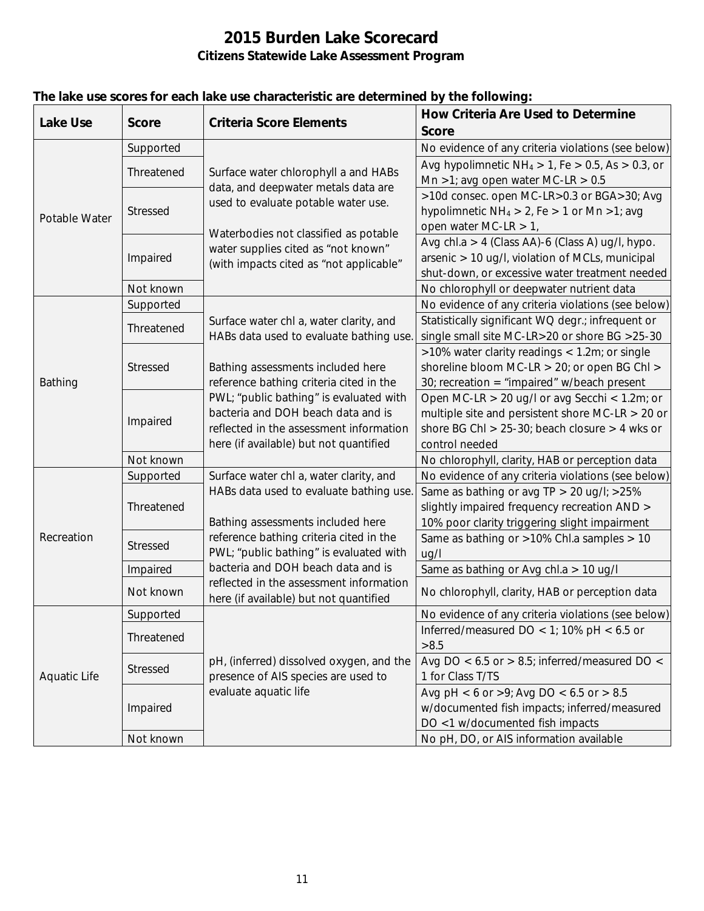| <b>Lake Use</b>     | <b>Score</b>    | <b>Criteria Score Elements</b>                                                                                     | <b>How Criteria Are Used to Determine</b>                                                                 |
|---------------------|-----------------|--------------------------------------------------------------------------------------------------------------------|-----------------------------------------------------------------------------------------------------------|
|                     |                 |                                                                                                                    | <b>Score</b>                                                                                              |
| Potable Water       | Supported       |                                                                                                                    | No evidence of any criteria violations (see below)                                                        |
|                     | Threatened      | Surface water chlorophyll a and HABs<br>data, and deepwater metals data are<br>used to evaluate potable water use. | Avg hypolimnetic $NH_4 > 1$ , Fe $> 0.5$ , As $> 0.3$ , or                                                |
|                     |                 |                                                                                                                    | Mn >1; avg open water MC-LR > $0.5$                                                                       |
|                     | Stressed        |                                                                                                                    | >10d consec. open MC-LR>0.3 or BGA>30; Avg                                                                |
|                     |                 |                                                                                                                    | hypolimnetic $NH_4 > 2$ , Fe $> 1$ or Mn $>1$ ; avg                                                       |
|                     |                 | Waterbodies not classified as potable                                                                              | open water MC-LR $> 1$ ,                                                                                  |
|                     | Impaired        | water supplies cited as "not known"                                                                                | Avg chl.a > 4 (Class AA)-6 (Class A) ug/l, hypo.                                                          |
|                     |                 | (with impacts cited as "not applicable"                                                                            | arsenic > 10 ug/l, violation of MCLs, municipal                                                           |
|                     |                 |                                                                                                                    | shut-down, or excessive water treatment needed                                                            |
|                     | Not known       |                                                                                                                    | No chlorophyll or deepwater nutrient data                                                                 |
| Bathing             | Supported       |                                                                                                                    | No evidence of any criteria violations (see below)                                                        |
|                     | Threatened      | Surface water chl a, water clarity, and                                                                            | Statistically significant WQ degr.; infrequent or                                                         |
|                     |                 | HABs data used to evaluate bathing use.                                                                            | single small site MC-LR>20 or shore BG >25-30                                                             |
|                     | <b>Stressed</b> |                                                                                                                    | >10% water clarity readings < 1.2m; or single                                                             |
|                     |                 | Bathing assessments included here                                                                                  | shoreline bloom MC-LR > 20; or open BG Chl >                                                              |
|                     |                 | reference bathing criteria cited in the                                                                            | 30; recreation = "impaired" $w/b$ each present                                                            |
|                     | Impaired        | PWL; "public bathing" is evaluated with<br>bacteria and DOH beach data and is                                      | Open MC-LR $> 20$ ug/l or avg Secchi < 1.2m; or                                                           |
|                     |                 | reflected in the assessment information                                                                            | multiple site and persistent shore MC-LR $>$ 20 or<br>shore BG ChI $> 25-30$ ; beach closure $> 4$ wks or |
|                     |                 | here (if available) but not quantified                                                                             | control needed                                                                                            |
|                     | Not known       |                                                                                                                    | No chlorophyll, clarity, HAB or perception data                                                           |
|                     | Supported       | Surface water chl a, water clarity, and                                                                            | No evidence of any criteria violations (see below)                                                        |
|                     |                 | HABs data used to evaluate bathing use.                                                                            | Same as bathing or avg TP > 20 ug/l; >25%                                                                 |
| Recreation          | Threatened      |                                                                                                                    | slightly impaired frequency recreation AND >                                                              |
|                     |                 | Bathing assessments included here                                                                                  | 10% poor clarity triggering slight impairment                                                             |
|                     | <b>Stressed</b> | reference bathing criteria cited in the                                                                            | Same as bathing or >10% Chl.a samples > 10                                                                |
|                     |                 | PWL; "public bathing" is evaluated with                                                                            | ug/l                                                                                                      |
|                     | Impaired        | bacteria and DOH beach data and is                                                                                 | Same as bathing or Avg chl.a > 10 ug/l                                                                    |
|                     |                 | reflected in the assessment information                                                                            |                                                                                                           |
|                     | Not known       | here (if available) but not quantified                                                                             | No chlorophyll, clarity, HAB or perception data                                                           |
|                     | Supported       |                                                                                                                    | No evidence of any criteria violations (see below)                                                        |
|                     | Threatened      |                                                                                                                    | Inferred/measured DO < 1; 10% pH < $6.5$ or                                                               |
|                     |                 |                                                                                                                    | >8.5                                                                                                      |
| <b>Aquatic Life</b> | Stressed        | pH, (inferred) dissolved oxygen, and the                                                                           | Avg DO < $6.5$ or > 8.5; inferred/measured DO <                                                           |
|                     |                 | presence of AIS species are used to                                                                                | 1 for Class T/TS                                                                                          |
|                     | Impaired        | evaluate aquatic life                                                                                              | Avg pH < 6 or >9; Avg DO < 6.5 or > 8.5                                                                   |
|                     |                 |                                                                                                                    | w/documented fish impacts; inferred/measured                                                              |
|                     |                 |                                                                                                                    | DO <1 w/documented fish impacts                                                                           |
|                     | Not known       |                                                                                                                    | No pH, DO, or AIS information available                                                                   |

### **The lake use scores for each lake use characteristic are determined by the following:**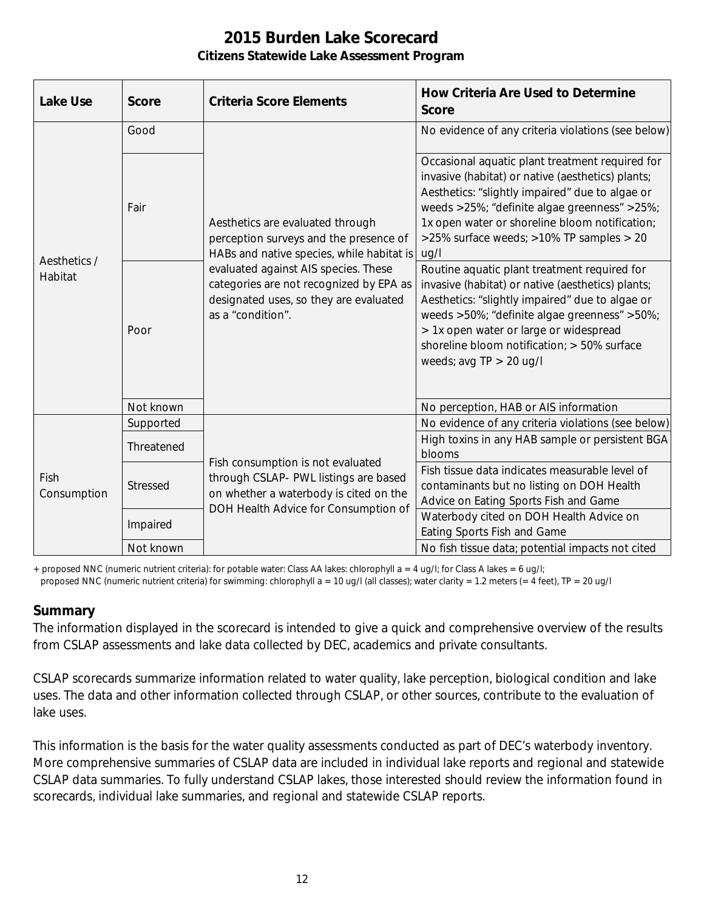| <b>Lake Use</b>         | <b>Score</b> | <b>Criteria Score Elements</b>                                                                                                                                                                                                                                            | <b>How Criteria Are Used to Determine</b><br><b>Score</b>                                                                                                                                                                                                                                                                  |
|-------------------------|--------------|---------------------------------------------------------------------------------------------------------------------------------------------------------------------------------------------------------------------------------------------------------------------------|----------------------------------------------------------------------------------------------------------------------------------------------------------------------------------------------------------------------------------------------------------------------------------------------------------------------------|
| Aesthetics /<br>Habitat | Good         | Aesthetics are evaluated through<br>perception surveys and the presence of<br>HABs and native species, while habitat is<br>evaluated against AIS species. These<br>categories are not recognized by EPA as<br>designated uses, so they are evaluated<br>as a "condition". | No evidence of any criteria violations (see below)                                                                                                                                                                                                                                                                         |
|                         | Fair         |                                                                                                                                                                                                                                                                           | Occasional aquatic plant treatment required for<br>invasive (habitat) or native (aesthetics) plants;<br>Aesthetics: "slightly impaired" due to algae or<br>weeds >25%; "definite algae greenness" >25%;<br>1x open water or shoreline bloom notification;<br>>25% surface weeds; >10% TP samples > 20<br>uq/l              |
|                         | Poor         |                                                                                                                                                                                                                                                                           | Routine aquatic plant treatment required for<br>invasive (habitat) or native (aesthetics) plants;<br>Aesthetics: "slightly impaired" due to algae or<br>weeds >50%; "definite algae greenness" >50%;<br>> 1x open water or large or widespread<br>shoreline bloom notification; > 50% surface<br>weeds; avg $TP > 20$ ug/l |
|                         | Not known    |                                                                                                                                                                                                                                                                           | No perception, HAB or AIS information                                                                                                                                                                                                                                                                                      |
| Fish<br>Consumption     | Supported    | Fish consumption is not evaluated<br>through CSLAP- PWL listings are based<br>on whether a waterbody is cited on the<br>DOH Health Advice for Consumption of                                                                                                              | No evidence of any criteria violations (see below)                                                                                                                                                                                                                                                                         |
|                         | Threatened   |                                                                                                                                                                                                                                                                           | High toxins in any HAB sample or persistent BGA<br>blooms                                                                                                                                                                                                                                                                  |
|                         | Stressed     |                                                                                                                                                                                                                                                                           | Fish tissue data indicates measurable level of<br>contaminants but no listing on DOH Health<br>Advice on Eating Sports Fish and Game                                                                                                                                                                                       |
|                         | Impaired     |                                                                                                                                                                                                                                                                           | Waterbody cited on DOH Health Advice on<br>Eating Sports Fish and Game                                                                                                                                                                                                                                                     |
|                         | Not known    |                                                                                                                                                                                                                                                                           | No fish tissue data; potential impacts not cited                                                                                                                                                                                                                                                                           |

+ proposed NNC (numeric nutrient criteria): for potable water: Class AA lakes: chlorophyll a = 4 ug/l; for Class A lakes = 6 ug/l;

#### proposed NNC (numeric nutrient criteria) for swimming: chlorophyll a = 10 ug/l (all classes); water clarity = 1.2 meters (= 4 feet), TP = 20 ug/l

#### **Summary**

The information displayed in the scorecard is intended to give a quick and comprehensive overview of the results from CSLAP assessments and lake data collected by DEC, academics and private consultants.

CSLAP scorecards summarize information related to water quality, lake perception, biological condition and lake uses. The data and other information collected through CSLAP, or other sources, contribute to the evaluation of lake uses.

This information is the basis for the water quality assessments conducted as part of DEC's waterbody inventory. More comprehensive summaries of CSLAP data are included in individual lake reports and regional and statewide CSLAP data summaries. To fully understand CSLAP lakes, those interested should review the information found in scorecards, individual lake summaries, and regional and statewide CSLAP reports.